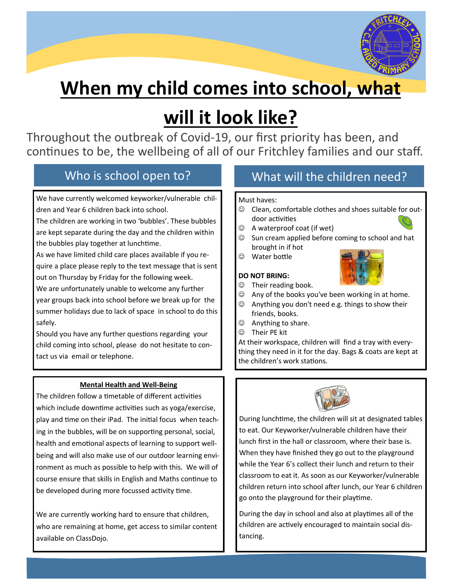

# **When my child comes into school, what**

# **will it look like?**

Throughout the outbreak of Covid-19, our first priority has been, and continues to be, the wellbeing of all of our Fritchley families and our staff.

We have currently welcomed keyworker/vulnerable children and Year 6 children back into school.

The children are working in two 'bubbles'. These bubbles are kept separate during the day and the children within the bubbles play together at lunchtime.

As we have limited child care places available if you require a place please reply to the text message that is sent out on Thursday by Friday for the following week.

We are unfortunately unable to welcome any further year groups back into school before we break up for the summer holidays due to lack of space in school to do this safely.

Should you have any further questions regarding your child coming into school, please do not hesitate to contact us via email or telephone.

## **Mental Health and Well-Being**

The children follow a timetable of different activities which include downtime activities such as yoga/exercise, play and time on their iPad. The initial focus when teaching in the bubbles, will be on supporting personal, social, health and emotional aspects of learning to support wellbeing and will also make use of our outdoor learning environment as much as possible to help with this. We will of course ensure that skills in English and Maths continue to be developed during more focussed activity time.

We are currently working hard to ensure that children, who are remaining at home, get access to similar content available on ClassDojo.

# Who is school open to? What will the children need?

#### Must haves:

- ☺ Clean, comfortable clothes and shoes suitable for outdoor activities
- ☺ A waterproof coat (if wet)
- ☺ Sun cream applied before coming to school and hat brought in if hot
- ☺ Water bottle

### **DO NOT BRING:**





- ☺ Their reading book.  $\odot$  Any of the books you've been working in at home.
- ☺ Anything you don't need e.g. things to show their friends, books.
- ☺ Anything to share.
- ☺ Their PE kit

At their workspace, children will find a tray with everything they need in it for the day. Bags & coats are kept at the children's work stations.



During lunchtime, the children will sit at designated tables to eat. Our Keyworker/vulnerable children have their lunch first in the hall or classroom, where their base is. When they have finished they go out to the playground while the Year 6's collect their lunch and return to their classroom to eat it. As soon as our Keyworker/vulnerable children return into school after lunch, our Year 6 children go onto the playground for their playtime.

During the day in school and also at playtimes all of the children are actively encouraged to maintain social distancing.